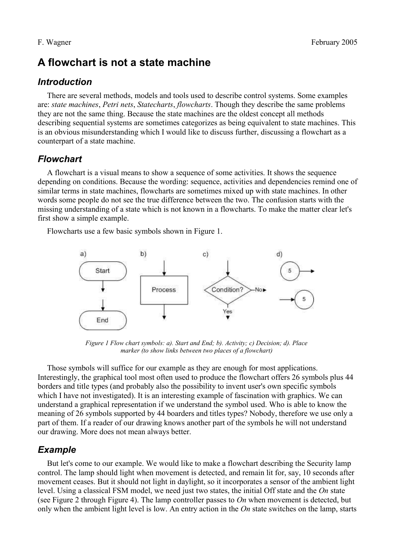# **A flowchart is not a state machine**

### *Introduction*

There are several methods, models and tools used to describe control systems. Some examples are: *state machines*, *Petri nets*, *Statecharts*, *flowcharts*. Though they describe the same problems they are not the same thing. Because the state machines are the oldest concept all methods describing sequential systems are sometimes categorizes as being equivalent to state machines. This is an obvious misunderstanding which I would like to discuss further, discussing a flowchart as a counterpart of a state machine.

# *Flowchart*

A flowchart is a visual means to show a sequence of some activities. It shows the sequence depending on conditions. Because the wording: sequence, activities and dependencies remind one of similar terms in state machines, flowcharts are sometimes mixed up with state machines. In other words some people do not see the true difference between the two. The confusion starts with the missing understanding of a state which is not known in a flowcharts. To make the matter clear let's first show a simple example.

Flowcharts use a few basic symbols shown in Figure 1.



*Figure 1 Flow chart symbols: a). Start and End; b). Activity; c) Decision; d). Place marker (to show links between two places of a flowchart)*

Those symbols will suffice for our example as they are enough for most applications. Interestingly, the graphical tool most often used to produce the flowchart offers 26 symbols plus 44 borders and title types (and probably also the possibility to invent user's own specific symbols which I have not investigated). It is an interesting example of fascination with graphics. We can understand a graphical representation if we understand the symbol used. Who is able to know the meaning of 26 symbols supported by 44 boarders and titles types? Nobody, therefore we use only a part of them. If a reader of our drawing knows another part of the symbols he will not understand our drawing. More does not mean always better.

## *Example*

But let's come to our example. We would like to make a flowchart describing the Security lamp control. The lamp should light when movement is detected, and remain lit for, say, 10 seconds after movement ceases. But it should not light in daylight, so it incorporates a sensor of the ambient light level. Using a classical FSM model, we need just two states, the initial Off state and the *On* state (see Figure 2 through Figure 4). The lamp controller passes to *On* when movement is detected, but only when the ambient light level is low. An entry action in the *On* state switches on the lamp, starts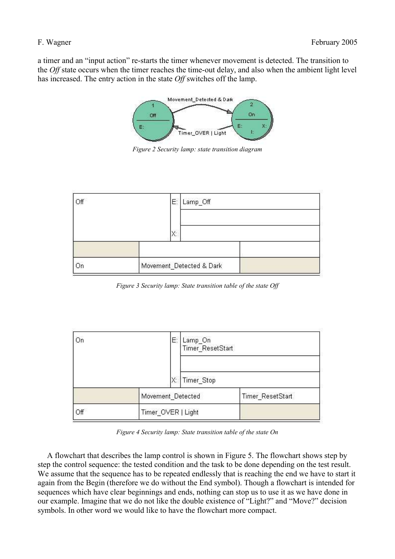a timer and an "input action" re-starts the timer whenever movement is detected. The transition to the *Off* state occurs when the timer reaches the time-out delay, and also when the ambient light level has increased. The entry action in the state *Off* switches off the lamp.



*Figure 2 Security lamp: state transition diagram*



*Figure 3 Security lamp: State transition table of the state Off*



*Figure 4 Security lamp: State transition table of the state On*

A flowchart that describes the lamp control is shown in Figure 5. The flowchart shows step by step the control sequence: the tested condition and the task to be done depending on the test result. We assume that the sequence has to be repeated endlessly that is reaching the end we have to start it again from the Begin (therefore we do without the End symbol). Though a flowchart is intended for sequences which have clear beginnings and ends, nothing can stop us to use it as we have done in our example. Imagine that we do not like the double existence of "Light?" and "Move?" decision symbols. In other word we would like to have the flowchart more compact.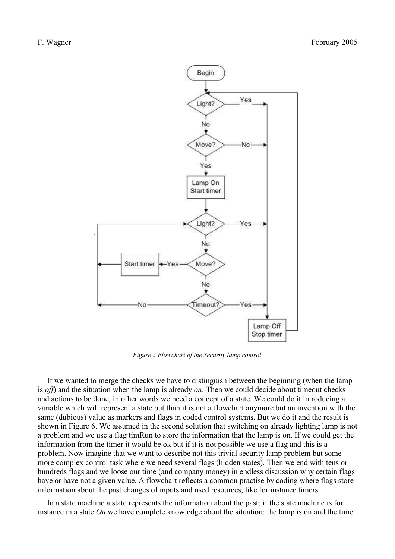

*Figure 5 Flowchart of the Security lamp control*

If we wanted to merge the checks we have to distinguish between the beginning (when the lamp is *off*) and the situation when the lamp is already *on*. Then we could decide about timeout checks and actions to be done, in other words we need a concept of a state. We could do it introducing a variable which will represent a state but than it is not a flowchart anymore but an invention with the same (dubious) value as markers and flags in coded control systems. But we do it and the result is shown in Figure 6. We assumed in the second solution that switching on already lighting lamp is not a problem and we use a flag timRun to store the information that the lamp is on. If we could get the information from the timer it would be ok but if it is not possible we use a flag and this is a problem. Now imagine that we want to describe not this trivial security lamp problem but some more complex control task where we need several flags (hidden states). Then we end with tens or hundreds flags and we loose our time (and company money) in endless discussion why certain flags have or have not a given value. A flowchart reflects a common practise by coding where flags store information about the past changes of inputs and used resources, like for instance timers.

In a state machine a state represents the information about the past; if the state machine is for instance in a state *On* we have complete knowledge about the situation: the lamp is on and the time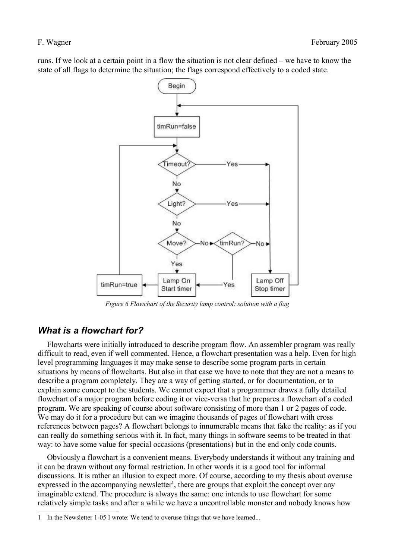runs. If we look at a certain point in a flow the situation is not clear defined – we have to know the state of all flags to determine the situation; the flags correspond effectively to a coded state.



*Figure 6 Flowchart of the Security lamp control: solution with a flag*

### *What is a flowchart for?*

Flowcharts were initially introduced to describe program flow. An assembler program was really difficult to read, even if well commented. Hence, a flowchart presentation was a help. Even for high level programming languages it may make sense to describe some program parts in certain situations by means of flowcharts. But also in that case we have to note that they are not a means to describe a program completely. They are a way of getting started, or for documentation, or to explain some concept to the students. We cannot expect that a programmer draws a fully detailed flowchart of a major program before coding it or vice-versa that he prepares a flowchart of a coded program. We are speaking of course about software consisting of more than 1 or 2 pages of code. We may do it for a procedure but can we imagine thousands of pages of flowchart with cross references between pages? A flowchart belongs to innumerable means that fake the reality: as if you can really do something serious with it. In fact, many things in software seems to be treated in that way: to have some value for special occasions (presentations) but in the end only code counts.

Obviously a flowchart is a convenient means. Everybody understands it without any training and it can be drawn without any formal restriction. In other words it is a good tool for informal discussions. It is rather an illusion to expect more. Of course, according to my thesis about overuse expressed in the accompanying newsletter<sup>1</sup>, there are groups that exploit the concept over any imaginable extend. The procedure is always the same: one intends to use flowchart for some relatively simple tasks and after a while we have a uncontrollable monster and nobody knows how

<sup>1</sup> In the Newsletter 1-05 I wrote: We tend to overuse things that we have learned...